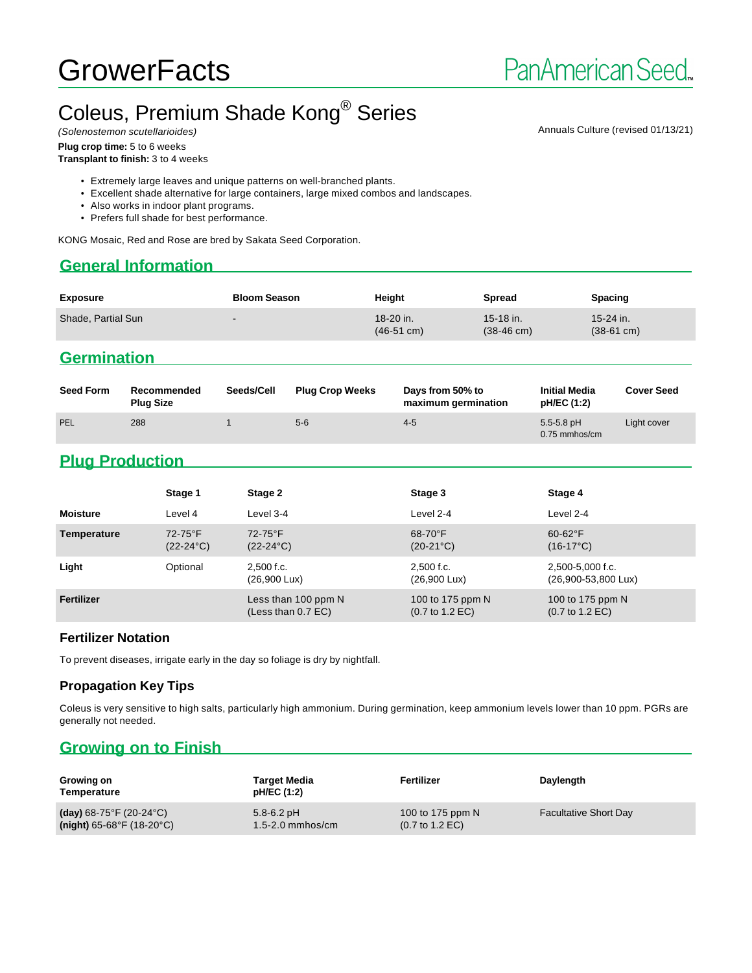## Coleus, Premium Shade Kong<sup>®</sup> Series (Solenostemon scutellarioides) and the Colenostemon scutellarioides) and the Colenostemon scutellarioides of the Colenostemon scutellarioides of the Colenostemon scutellarioides)

#### **Plug crop time:** 5 to 6 weeks

**Transplant to finish:** 3 to 4 weeks

- Extremely large leaves and unique patterns on well-branched plants.
- Excellent shade alternative for large containers, large mixed combos and landscapes.
- Also works in indoor plant programs.
- Prefers full shade for best performance.

KONG Mosaic, Red and Rose are bred by Sakata Seed Corporation.

### **General Information**

| <b>Exposure</b>    | <b>Bloom Season</b> | Height                            | <b>Spread</b>                       | <b>Spacing</b>                      |
|--------------------|---------------------|-----------------------------------|-------------------------------------|-------------------------------------|
| Shade, Partial Sun | -                   | 18-20 in.<br>$(46-51 \text{ cm})$ | $15-18$ in.<br>$(38-46 \text{ cm})$ | $15-24$ in.<br>$(38-61 \text{ cm})$ |

## **Germination**

| <b>Seed Form</b> | Recommended<br><b>Plug Size</b> | Seeds/Cell | <b>Plug Crop Weeks</b> | Days from 50% to<br>maximum germination | <b>Initial Media</b><br>pH/EC (1:2) | <b>Cover Seed</b> |
|------------------|---------------------------------|------------|------------------------|-----------------------------------------|-------------------------------------|-------------------|
| PEL              | 288                             |            | $5-6$                  | $4 - 5$                                 | $5.5 - 5.8$ pH<br>$0.75$ mmhos/cm   | Light cover       |

# **Plug Production**

|                 | Stage 1                          | Stage 2                                     | Stage 3                                                | Stage 4                                                |
|-----------------|----------------------------------|---------------------------------------------|--------------------------------------------------------|--------------------------------------------------------|
| <b>Moisture</b> | Level 4                          | Level 3-4                                   | Level 2-4                                              | Level 2-4                                              |
| Temperature     | $72-75$ °F<br>$(22-24\degree C)$ | $72-75$ °F<br>$(22-24^{\circ}C)$            | $68-70$ °F<br>$(20-21^{\circ}C)$                       | $60-62$ °F<br>$(16-17^{\circ}C)$                       |
| Light           | Optional                         | 2,500 f.c.<br>(26,900 Lux)                  | 2,500 f.c.<br>$(26,900 \text{ Lux})$                   | 2,500-5,000 f.c.<br>(26,900-53,800 Lux)                |
| Fertilizer      |                                  | Less than 100 ppm N<br>(Less than $0.7$ EC) | 100 to 175 ppm N<br>$(0.7 \text{ to } 1.2 \text{ EC})$ | 100 to 175 ppm N<br>$(0.7 \text{ to } 1.2 \text{ EC})$ |

#### **Fertilizer Notation**

To prevent diseases, irrigate early in the day so foliage is dry by nightfall.

#### **Propagation Key Tips**

Coleus is very sensitive to high salts, particularly high ammonium. During germination, keep ammonium levels lower than 10 ppm. PGRs are generally not needed.

# **Growing on to Finish**

| Growing on<br>Temperature                    | Target Media<br>pH/EC (1:2) | Fertilizer                         | Daylength                    |
|----------------------------------------------|-----------------------------|------------------------------------|------------------------------|
| (day) $68-75^{\circ}$ F (20-24 $^{\circ}$ C) | $5.8 - 6.2$ pH              | 100 to 175 ppm N                   | <b>Facultative Short Day</b> |
| $(night)$ 65-68°F (18-20°C)                  | $1.5 - 2.0$ mmhos/cm        | $(0.7 \text{ to } 1.2 \text{ EC})$ |                              |